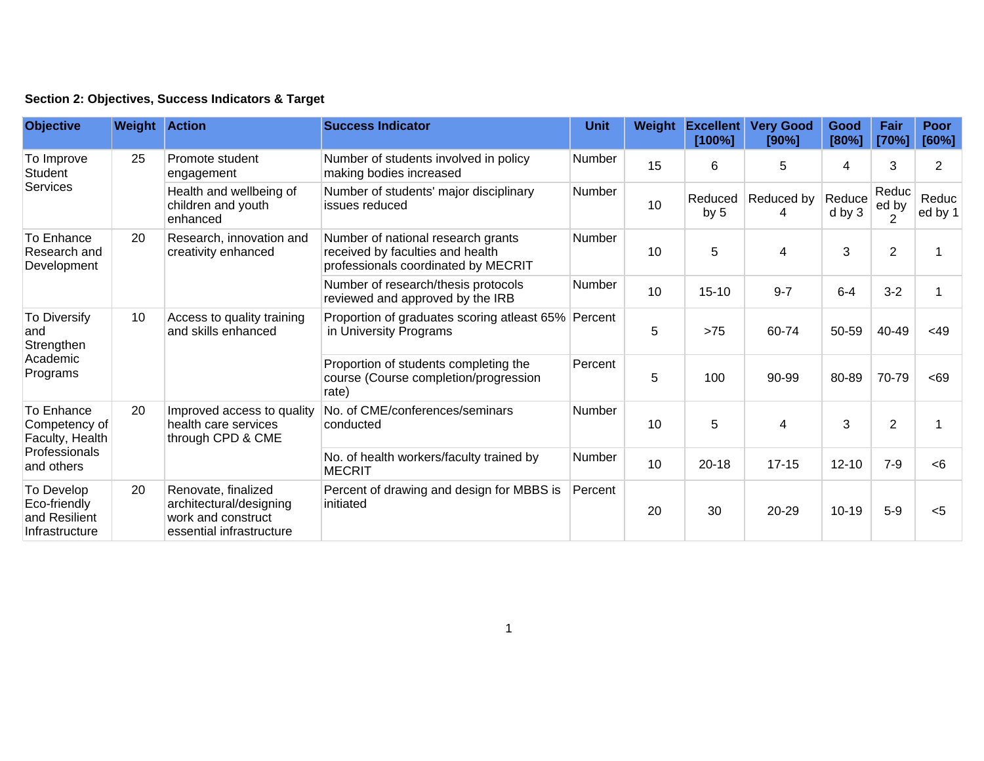| Section 2: Objectives, Success Indicators & Target |  |  |  |  |  |  |
|----------------------------------------------------|--|--|--|--|--|--|
|----------------------------------------------------|--|--|--|--|--|--|

| <b>Objective</b>                                                              | <b>Weight Action</b> |                                                                                                  | <b>Success Indicator</b>                                                                                      | <b>Unit</b>   | Weight | <b>Excellent</b><br>[100%] | <b>Very Good</b><br>[90%] | Good<br>[80%]    | Fair<br>[70%]                    | <b>Poor</b><br>[60%] |
|-------------------------------------------------------------------------------|----------------------|--------------------------------------------------------------------------------------------------|---------------------------------------------------------------------------------------------------------------|---------------|--------|----------------------------|---------------------------|------------------|----------------------------------|----------------------|
| To Improve<br>Student<br><b>Services</b>                                      | 25                   | Promote student<br>engagement                                                                    | Number of students involved in policy<br>making bodies increased                                              | <b>Number</b> | 15     | 6                          | 5                         | 4                | 3                                | 2                    |
|                                                                               |                      | Health and wellbeing of<br>children and youth<br>enhanced                                        | Number of students' major disciplinary<br>issues reduced                                                      | Number        | 10     | Reduced<br>by $5$          | Reduced by<br>4           | Reduce<br>d by 3 | Reduc<br>ed by<br>$\overline{2}$ | Reduc<br>ed by 1     |
| To Enhance<br>Research and<br>Development                                     | 20                   | Research, innovation and<br>creativity enhanced                                                  | Number of national research grants<br>received by faculties and health<br>professionals coordinated by MECRIT | Number        | 10     | 5                          | 4                         | 3                | $\overline{2}$                   |                      |
|                                                                               |                      |                                                                                                  | Number of research/thesis protocols<br>reviewed and approved by the IRB                                       | <b>Number</b> | 10     | $15 - 10$                  | $9 - 7$                   | $6 - 4$          | $3 - 2$                          |                      |
| To Diversify<br>and<br>Strengthen<br>Academic<br>Programs                     | 10                   | Access to quality training<br>and skills enhanced                                                | Proportion of graduates scoring atleast 65% Percent<br>in University Programs                                 |               | 5      | $>75$                      | 60-74                     | 50-59            | 40-49                            | $<$ 49               |
|                                                                               |                      |                                                                                                  | Proportion of students completing the<br>course (Course completion/progression<br>rate)                       | Percent       | 5      | 100                        | 90-99                     | 80-89            | 70-79                            | < 69                 |
| To Enhance<br>Competency of<br>Faculty, Health<br>Professionals<br>and others | 20                   | Improved access to quality<br>health care services<br>through CPD & CME                          | No. of CME/conferences/seminars<br>conducted                                                                  | <b>Number</b> | 10     | 5                          | 4                         | 3                | $\overline{2}$                   |                      |
|                                                                               |                      |                                                                                                  | No. of health workers/faculty trained by<br><b>MECRIT</b>                                                     | <b>Number</b> | 10     | $20 - 18$                  | $17 - 15$                 | $12 - 10$        | $7-9$                            | <6                   |
| To Develop<br>Eco-friendly<br>and Resilient<br>Infrastructure                 | 20                   | Renovate, finalized<br>architectural/designing<br>work and construct<br>essential infrastructure | Percent of drawing and design for MBBS is<br>initiated                                                        | Percent       | 20     | 30                         | 20-29                     | $10 - 19$        | $5-9$                            | $5$                  |